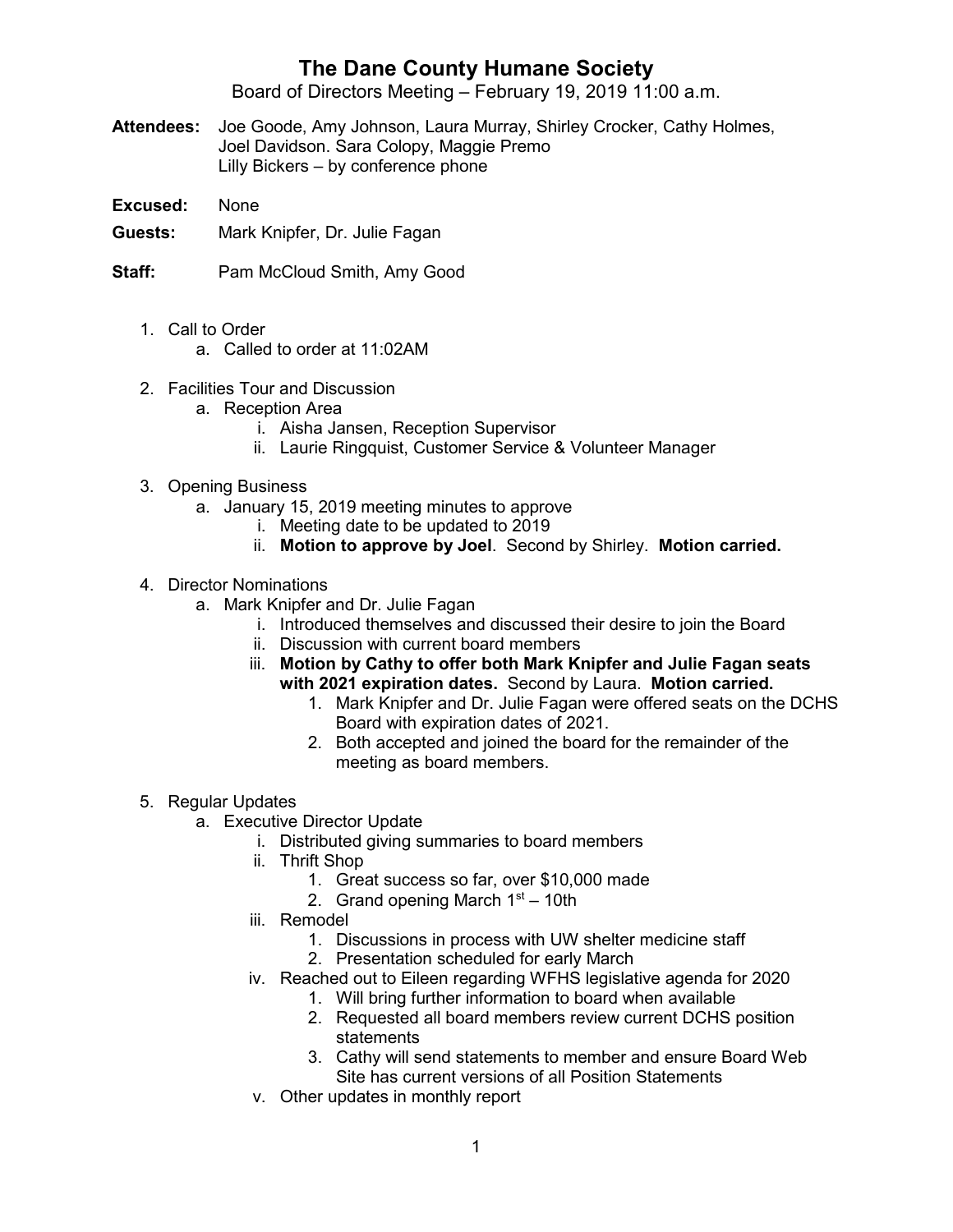## **The Dane County Humane Society**

Board of Directors Meeting – February 19, 2019 11:00 a.m.

- **Attendees:** Joe Goode, Amy Johnson, Laura Murray, Shirley Crocker, Cathy Holmes, Joel Davidson. Sara Colopy, Maggie Premo Lilly Bickers – by conference phone
- **Excused:** None
- **Guests:** Mark Knipfer, Dr. Julie Fagan

**Staff:** Pam McCloud Smith, Amy Good

- 1. Call to Order
	- a. Called to order at 11:02AM
- 2. Facilities Tour and Discussion
	- a. Reception Area
		- i. Aisha Jansen, Reception Supervisor
		- ii. Laurie Ringquist, Customer Service & Volunteer Manager
- 3. Opening Business
	- a. January 15, 2019 meeting minutes to approve
		- i. Meeting date to be updated to 2019
		- ii. **Motion to approve by Joel**. Second by Shirley. **Motion carried.**
- 4. Director Nominations
	- a. Mark Knipfer and Dr. Julie Fagan
		- i. Introduced themselves and discussed their desire to join the Board
		- ii. Discussion with current board members
		- iii. **Motion by Cathy to offer both Mark Knipfer and Julie Fagan seats with 2021 expiration dates.** Second by Laura. **Motion carried.**
			- 1. Mark Knipfer and Dr. Julie Fagan were offered seats on the DCHS Board with expiration dates of 2021.
			- 2. Both accepted and joined the board for the remainder of the meeting as board members.
- 5. Regular Updates
	- a. Executive Director Update
		- i. Distributed giving summaries to board members
		- ii. Thrift Shop
			- 1. Great success so far, over \$10,000 made
			- 2. Grand opening March  $1<sup>st</sup> 10th$
		- iii. Remodel
			- 1. Discussions in process with UW shelter medicine staff
			- 2. Presentation scheduled for early March
		- iv. Reached out to Eileen regarding WFHS legislative agenda for 2020
			- 1. Will bring further information to board when available
			- 2. Requested all board members review current DCHS position statements
			- 3. Cathy will send statements to member and ensure Board Web Site has current versions of all Position Statements
		- v. Other updates in monthly report